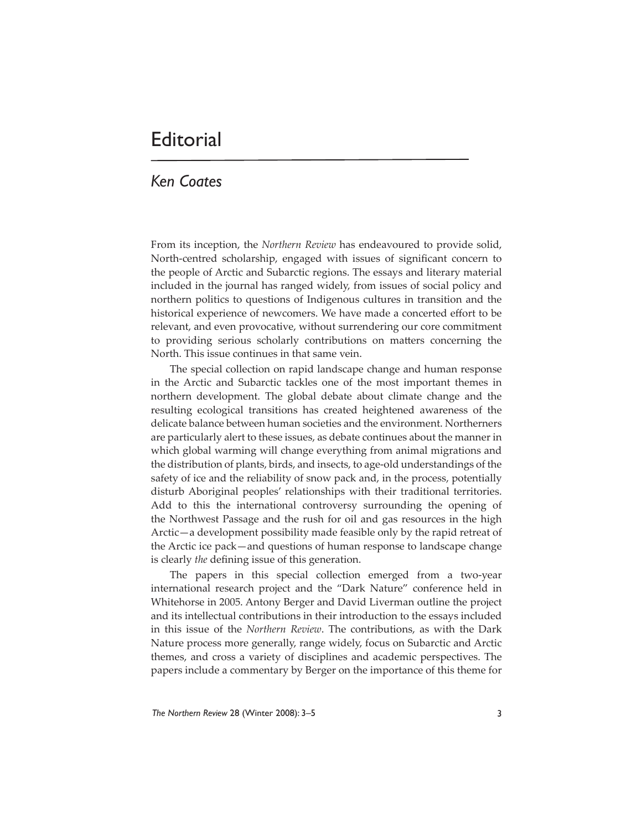## **Editorial**

## *Ken Coates*

From its inception, the *Northern Review* has endeavoured to provide solid, North-centred scholarship, engaged with issues of significant concern to the people of Arctic and Subarctic regions. The essays and literary material included in the journal has ranged widely, from issues of social policy and northern politics to questions of Indigenous cultures in transition and the historical experience of newcomers. We have made a concerted effort to be relevant, and even provocative, without surrendering our core commitment to providing serious scholarly contributions on matters concerning the North. This issue continues in that same vein.

The special collection on rapid landscape change and human response in the Arctic and Subarctic tackles one of the most important themes in northern development. The global debate about climate change and the resulting ecological transitions has created heightened awareness of the delicate balance between human societies and the environment. Northerners are particularly alert to these issues, as debate continues about the manner in which global warming will change everything from animal migrations and the distribution of plants, birds, and insects, to age-old understandings of the safety of ice and the reliability of snow pack and, in the process, potentially disturb Aboriginal peoples' relationships with their traditional territories. Add to this the international controversy surrounding the opening of the Northwest Passage and the rush for oil and gas resources in the high Arctic—a development possibility made feasible only by the rapid retreat of the Arctic ice pack—and questions of human response to landscape change is clearly *the* defining issue of this generation.

The papers in this special collection emerged from a two-year international research project and the "Dark Nature" conference held in Whitehorse in 2005. Antony Berger and David Liverman outline the project and its intellectual contributions in their introduction to the essays included in this issue of the *Northern Review*. The contributions, as with the Dark Nature process more generally, range widely, focus on Subarctic and Arctic themes, and cross a variety of disciplines and academic perspectives. The papers include a commentary by Berger on the importance of this theme for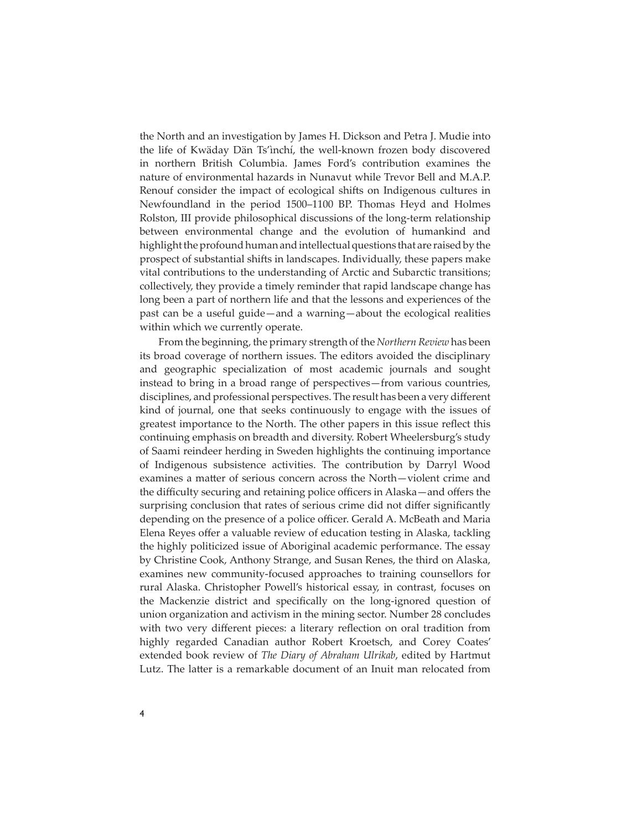the North and an investigation by James H. Dickson and Petra J. Mudie into the life of Kwäday Dän Ts'ìnchí, the well-known frozen body discovered in northern British Columbia. James Ford's contribution examines the nature of environmental hazards in Nunavut while Trevor Bell and M.A.P. Renouf consider the impact of ecological shifts on Indigenous cultures in Newfoundland in the period 1500–1100 BP. Thomas Heyd and Holmes Rolston, III provide philosophical discussions of the long-term relationship between environmental change and the evolution of humankind and highlight the profound human and intellectual questions that are raised by the prospect of substantial shifts in landscapes. Individually, these papers make vital contributions to the understanding of Arctic and Subarctic transitions; collectively, they provide a timely reminder that rapid landscape change has long been a part of northern life and that the lessons and experiences of the past can be a useful guide—and a warning—about the ecological realities within which we currently operate.

From the beginning, the primary strength of the *Northern Review* has been its broad coverage of northern issues. The editors avoided the disciplinary and geographic specialization of most academic journals and sought instead to bring in a broad range of perspectives—from various countries, disciplines, and professional perspectives. The result has been a very different kind of journal, one that seeks continuously to engage with the issues of greatest importance to the North. The other papers in this issue reflect this continuing emphasis on breadth and diversity. Robert Wheelersburg's study of Saami reindeer herding in Sweden highlights the continuing importance of Indigenous subsistence activities. The contribution by Darryl Wood examines a matter of serious concern across the North-violent crime and the difficulty securing and retaining police officers in Alaska—and offers the surprising conclusion that rates of serious crime did not differ significantly depending on the presence of a police officer. Gerald A. McBeath and Maria Elena Reyes offer a valuable review of education testing in Alaska, tackling the highly politicized issue of Aboriginal academic performance. The essay by Christine Cook, Anthony Strange, and Susan Renes, the third on Alaska, examines new community-focused approaches to training counsellors for rural Alaska. Christopher Powell's historical essay, in contrast, focuses on the Mackenzie district and specifically on the long-ignored question of union organization and activism in the mining sector. Number 28 concludes with two very different pieces: a literary reflection on oral tradition from highly regarded Canadian author Robert Kroetsch, and Corey Coates' extended book review of *The Diary of Abraham Ulrikab*, edited by Hartmut Lutz. The latter is a remarkable document of an Inuit man relocated from